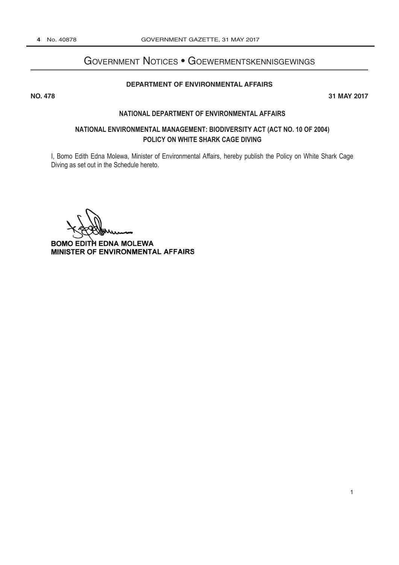# GOVERNMENT NOTICES . GOEWERMENTSKENNISGEWINGS <del>Government and the second second second</del>

# [DEPARTMENT OF ENVIRONMENTAL AFFAIRS](http://www.greengazette.co.za/departments/envonmental)

**NO. 478 31 MAY 2017 No. 2017 No. 2017 No. 2017 No. 2017 No. 2017 No. 2017 No. 2017 No. 2017 No. 2017** 

### **NATIONAL [DEPARTMENT OF ENVIRONMENTAL AFFAIRS](http://www.greengazette.co.za/departments/envonmental)**

# **NATIONAL ENVIRONMENTAL MANAGEMENT: BIODIVERSITY ACT (ACT NO. 10 OF 2004) POLICY ON WHITE SHARK CAGE DIVING**

I, Bomo Edith Edna Molewa, Minister of Environmental Affairs, hereby publish the Policy on White Shark Cage Diving as set out in the Schedule hereto.

BOMO EDITH EDNA MOLEWA MINISTER OF ENVIRONMENTAL AFFAIRS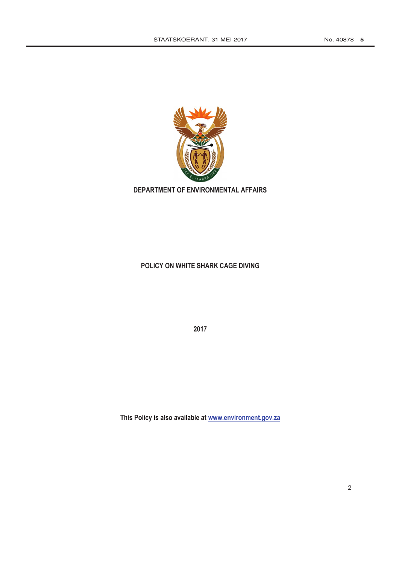

**[DEPARTMENT OF ENVIRONMENTAL AFFAIRS](http://www.greengazette.co.za/departments/envonmental)**

# **POLICY ON WHITE SHARK CAGE DIVING**

**2017**

**This Policy is also available at www.environment.gov.za**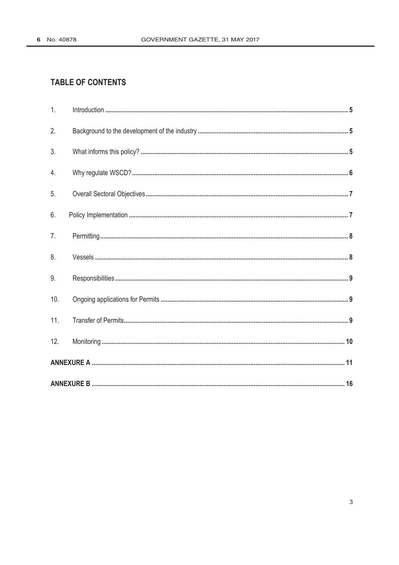# **TABLE OF CONTENTS**

| 1.             |  |  |
|----------------|--|--|
| 2.             |  |  |
| 3.             |  |  |
| 4.             |  |  |
| 5.             |  |  |
| 6.             |  |  |
| 7 <sub>1</sub> |  |  |
| 8.             |  |  |
| 9 <sub>1</sub> |  |  |
| 10.            |  |  |
| 11.            |  |  |
| 12.            |  |  |
|                |  |  |
|                |  |  |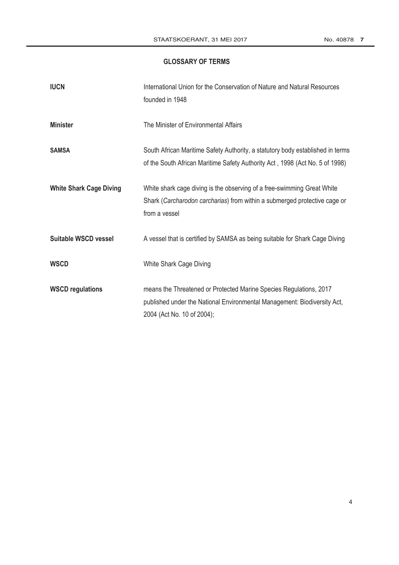# **GLOSSARY OF TERMS**

| <b>IUCN</b>                    | International Union for the Conservation of Nature and Natural Resources<br>founded in 1948                                                                                  |
|--------------------------------|------------------------------------------------------------------------------------------------------------------------------------------------------------------------------|
| <b>Minister</b>                | The Minister of Environmental Affairs                                                                                                                                        |
| <b>SAMSA</b>                   | South African Maritime Safety Authority, a statutory body established in terms<br>of the South African Maritime Safety Authority Act, 1998 (Act No. 5 of 1998)               |
| <b>White Shark Cage Diving</b> | White shark cage diving is the observing of a free-swimming Great White<br>Shark (Carcharodon carcharias) from within a submerged protective cage or<br>from a vessel        |
| Suitable WSCD vessel           | A vessel that is certified by SAMSA as being suitable for Shark Cage Diving                                                                                                  |
| <b>WSCD</b>                    | White Shark Cage Diving                                                                                                                                                      |
| <b>WSCD regulations</b>        | means the Threatened or Protected Marine Species Regulations, 2017<br>published under the National Environmental Management: Biodiversity Act,<br>2004 (Act No. 10 of 2004); |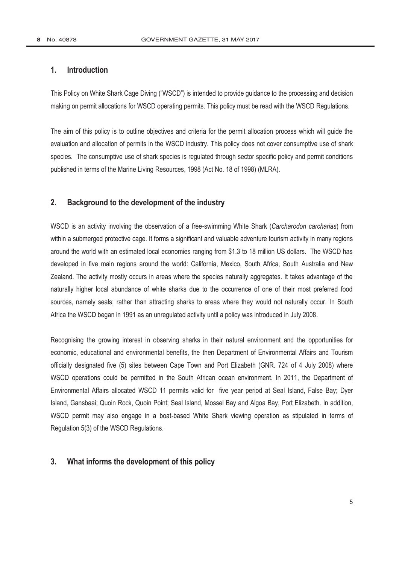# **1. Introduction**

This Policy on White Shark Cage Diving ("WSCD") is intended to provide guidance to the processing and decision making on permit allocations for WSCD operating permits. This policy must be read with the WSCD Regulations.

The aim of this policy is to outline objectives and criteria for the permit allocation process which will guide the evaluation and allocation of permits in the WSCD industry. This policy does not cover consumptive use of shark species. The consumptive use of shark species is regulated through sector specific policy and permit conditions published in terms of the Marine Living Resources, 1998 (Act No. 18 of 1998) (MLRA).

# **2. Background to the development of the industry**

WSCD is an activity involving the observation of a free-swimming White Shark (*Carcharodon carcharias*) from within a submerged protective cage. It forms a significant and valuable adventure [tourism activity](http://www.greengazette.co.za/acts/tourism-act_1993-072) in many regions around the world with an estimated local economies ranging from \$1.3 to 18 million US dollars. The WSCD has developed in five main regions around the world: California, Mexico, South Africa, South Australia and New Zealand. The activity mostly occurs in areas where the species naturally aggregates. It takes advantage of the naturally higher local abundance of white sharks due to the occurrence of one of their most preferred food sources, namely seals; rather than attracting sharks to areas where they would not naturally occur. In South Africa the WSCD began in 1991 as an unregulated activity until a policy was introduced in July 2008.

Recognising the growing interest in observing sharks in their natural environment and the opportunities for economic, educational and environmental benefits, the then [Department of Environmental Affairs](http://www.greengazette.co.za/departments/envonmental) and Tourism officially designated five (5) sites between Cape Town and Port Elizabeth (GNR. 724 of 4 July 2008) where WSCD operations could be permitted in the South African ocean environment. In 2011, the [Department of](http://www.greengazette.co.za/departments/envonmental)  [Environmental Affairs](http://www.greengazette.co.za/departments/envonmental) allocated WSCD 11 permits valid for five year period at Seal Island, False Bay; Dyer Island, Gansbaai; Quoin Rock, Quoin Point; Seal Island, Mossel Bay and Algoa Bay, Port Elizabeth. In addition, WSCD permit may also engage in a boat-based White Shark viewing operation as stipulated in terms of Regulation 5(3) of the WSCD Regulations.

# **3. What informs the development of this policy**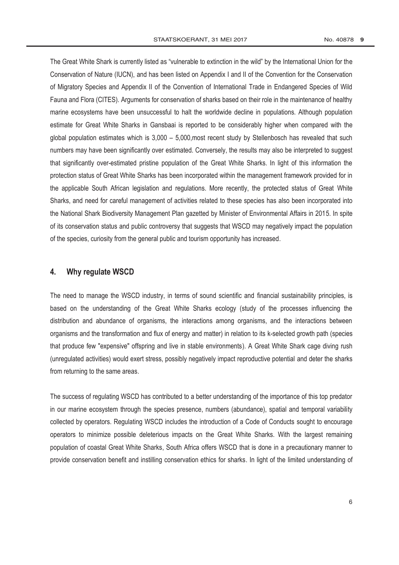The Great White Shark is currently listed as "vulnerable to extinction in the wild" by the International Union for the Conservation of Nature (IUCN), and has been listed on Appendix I and II of the Convention for the Conservation of Migratory Species and Appendix II of the Convention of International Trade in Endangered Species of Wild Fauna and Flora (CITES). Arguments for conservation of sharks based on their role in the maintenance of healthy marine ecosystems have been unsuccessful to halt the worldwide decline in populations. Although population estimate for Great White Sharks in Gansbaai is reported to be considerably higher when compared with the global population estimates which is  $3,000 - 5,000$ , most recent study by Stellenbosch has revealed that such numbers may have been significantly over estimated. Conversely, the results may also be interpreted to suggest that significantly over-estimated pristine population of the Great White Sharks. In light of this information the protection status of Great White Sharks has been incorporated within the management framework provided for in the applicable South African legislation and regulations. More recently, the protected status of Great White Sharks, and need for careful management of activities related to these species has also been incorporated into the National Shark Biodiversity Management Plan gazetted by Minister of Environmental Affairs in 2015. In spite of its conservation status and public controversy that suggests that WSCD may negatively impact the population of the species, curiosity from the general public and tourism opportunity has increased.

## **4. Why regulate WSCD**

The need to manage the WSCD industry, in terms of sound scientific and financial sustainability principles, is based on the understanding of the Great White Sharks ecology (study of the processes influencing the distribution and abundance of organisms, the interactions among organisms, and the interactions between organisms and the transformation and flux of energy and matter) in relation to its k-selected growth path (species that produce few "expensive" offspring and live in stable environments). A Great White Shark cage diving rush (unregulated activities) would exert stress, possibly negatively impact reproductive potential and deter the sharks from returning to the same areas.

The success of regulating WSCD has contributed to a better understanding of the importance of this top predator in our marine ecosystem through the species presence, numbers (abundance), spatial and temporal variability collected by operators. Regulating WSCD includes the introduction of a Code of Conducts sought to encourage operators to minimize possible deleterious impacts on the Great White Sharks. With the largest remaining population of coastal Great White Sharks, South Africa offers WSCD that is done in a precautionary manner to provide conservation benefit and instilling conservation ethics for sharks. In light of the limited understanding of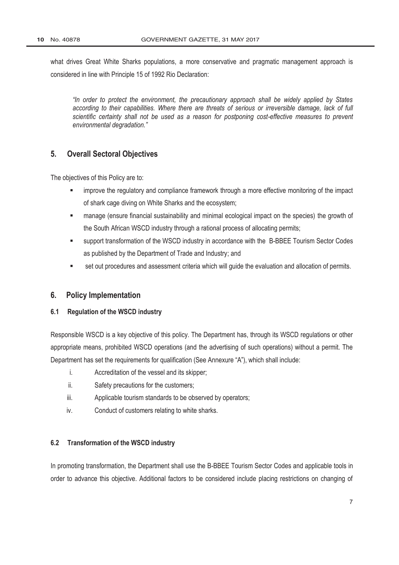what drives Great White Sharks populations, a more conservative and pragmatic management approach is considered in line with Principle 15 of 1992 Rio Declaration:

*"In order to protect the environment, the precautionary approach shall be widely applied by States according to their capabilities. Where there are threats of serious or irreversible damage, lack of full scientific certainty shall not be used as a reason for postponing cost-effective measures to prevent environmental degradation."*

# **5. Overall Sectoral Objectives**

The objectives of this Policy are to:

- improve the regulatory and compliance framework through a more effective monitoring of the impact of shark cage diving on White Sharks and the ecosystem;
- manage (ensure financial sustainability and minimal ecological impact on the species) the growth of the South African WSCD industry through a rational process of allocating permits;
- support transformation of the WSCD industry in accordance with the B-BBEE Tourism Sector Codes as published by the [Department of Trade and Industry;](http://www.greengazette.co.za/departments/dti) and
- set out procedures and assessment criteria which will guide the evaluation and allocation of permits.

# **6. Policy Implementation**

## **6.1 Regulation of the WSCD industry**

Responsible WSCD is a key objective of this policy. The Department has, through its WSCD regulations or other appropriate means, prohibited WSCD operations (and the advertising of such operations) without a permit. The Department has set the requirements for qualification (See Annexure "A"), which shall include:

- i. Accreditation of the vessel and its skipper;
- ii. Safety precautions for the customers;
- iii. Applicable tourism standards to be observed by operators;
- iv. Conduct of customers relating to white sharks.

#### **6.2 Transformation of the WSCD industry**

In promoting transformation, the Department shall use the B-BBEE Tourism Sector Codes and applicable tools in order to advance this objective. Additional factors to be considered include placing restrictions on changing of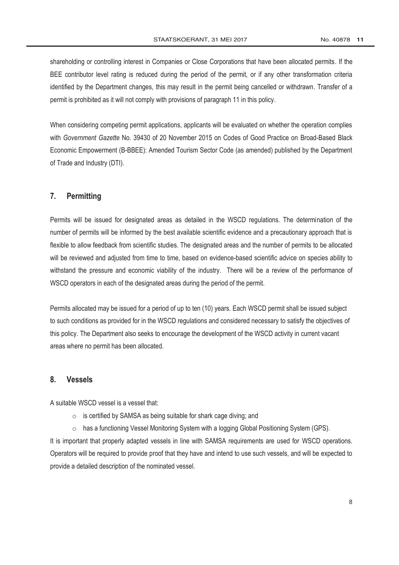shareholding or controlling interest in Companies or Close Corporations that have been allocated permits. If the BEE contributor level rating is reduced during the period of the permit, or if any other transformation criteria identified by the Department changes, this may result in the permit being cancelled or withdrawn. Transfer of a permit is prohibited as it will not comply with provisions of paragraph 11 in this policy.

When considering competing permit applications, applicants will be evaluated on whether the operation complies with *[Government Gazette](http://www.greengazette.co.za/government-gazette)* No. 39430 of 20 November 2015 on Codes of Good Practice on Broad-Based Black Economic Empowerment (B-BBEE): Amended Tourism Sector Code (as amended) published by the [Department](http://www.greengazette.co.za/departments/dti)  [of Trade and Industry](http://www.greengazette.co.za/departments/dti) (DTI).

# **7. Permitting**

Permits will be issued for designated areas as detailed in the WSCD regulations. The determination of the number of permits will be informed by the best available scientific evidence and a precautionary approach that is flexible to allow feedback from scientific studies. The designated areas and the number of permits to be allocated will be reviewed and adjusted from time to time, based on evidence-based scientific advice on species ability to withstand the pressure and economic viability of the industry. There will be a review of the performance of WSCD operators in each of the designated areas during the period of the permit.

Permits allocated may be issued for a period of up to ten (10) years. Each WSCD permit shall be issued subject to such conditions as provided for in the WSCD regulations and considered necessary to satisfy the objectives of this policy. The Department also seeks to encourage the development of the WSCD activity in current vacant areas where no permit has been allocated.

# **8. Vessels**

A suitable WSCD vessel is a vessel that:

- $\circ$  is certified by SAMSA as being suitable for shark cage diving; and
- $\circ$  has a functioning Vessel Monitoring System with a logging Global Positioning System (GPS).

It is important that properly adapted vessels in line with SAMSA requirements are used for WSCD operations. Operators will be required to provide proof that they have and intend to use such vessels, and will be expected to provide a detailed description of the nominated vessel.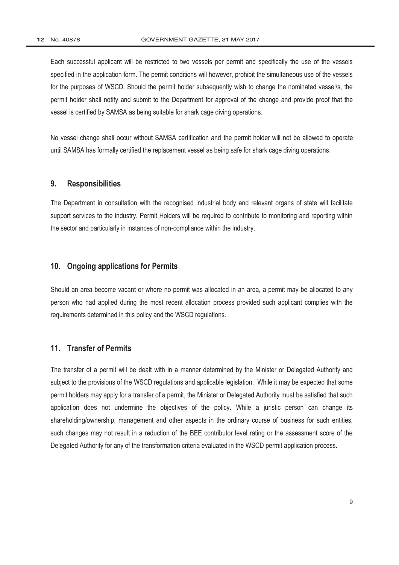Each successful applicant will be restricted to two vessels per permit and specifically the use of the vessels specified in the application form. The permit conditions will however, prohibit the simultaneous use of the vessels for the purposes of WSCD. Should the permit holder subsequently wish to change the nominated vessel/s, the permit holder shall notify and submit to the Department for approval of the change and provide proof that the vessel is certified by SAMSA as being suitable for shark cage diving operations.

No vessel change shall occur without SAMSA certification and the permit holder will not be allowed to operate until SAMSA has formally certified the replacement vessel as being safe for shark cage diving operations.

# **9. Responsibilities**

The Department in consultation with the recognised industrial body and relevant organs of state will facilitate support services to the industry. Permit Holders will be required to contribute to monitoring and reporting within the sector and particularly in instances of non-compliance within the industry.

### **10. Ongoing applications for Permits**

Should an area become vacant or where no permit was allocated in an area, a permit may be allocated to any person who had applied during the most recent allocation process provided such applicant complies with the requirements determined in this policy and the WSCD regulations.

# **11. Transfer of Permits**

The transfer of a permit will be dealt with in a manner determined by the Minister or Delegated Authority and subject to the provisions of the WSCD regulations and applicable legislation. While it may be expected that some permit holders may apply for a transfer of a permit, the Minister or Delegated Authority must be satisfied that such application does not undermine the objectives of the policy. While a juristic person can change its shareholding/ownership, management and other aspects in the ordinary course of business for such entities, such changes may not result in a reduction of the BEE contributor level rating or the assessment score of the Delegated Authority for any of the transformation criteria evaluated in the WSCD permit application process.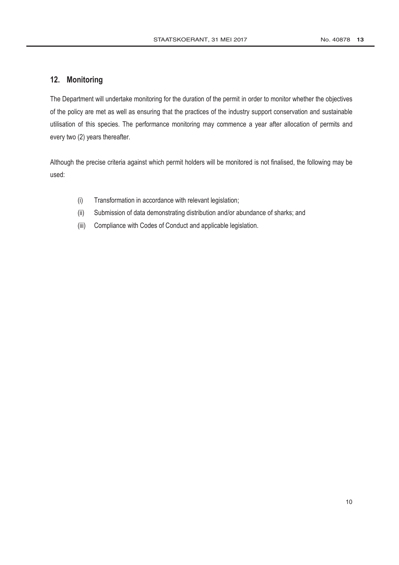# **12. Monitoring**

The Department will undertake monitoring for the duration of the permit in order to monitor whether the objectives of the policy are met as well as ensuring that the practices of the industry support conservation and sustainable utilisation of this species. The performance monitoring may commence a year after allocation of permits and every two (2) years thereafter.

Although the precise criteria against which permit holders will be monitored is not finalised, the following may be used:

- (i) Transformation in accordance with relevant legislation;
- (ii) Submission of data demonstrating distribution and/or abundance of sharks; and
- (iii) Compliance with Codes of Conduct and applicable legislation.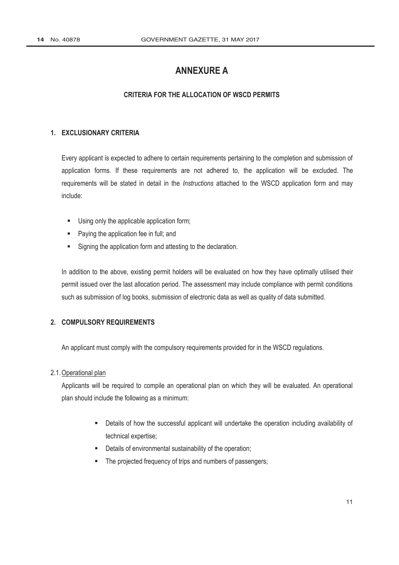# **ANNEXURE A**

# **CRITERIA FOR THE ALLOCATION OF WSCD PERMITS**

### **1. EXCLUSIONARY CRITERIA**

Every applicant is expected to adhere to certain requirements pertaining to the completion and submission of application forms. If these requirements are not adhered to, the application will be excluded. The requirements will be stated in detail in the *Instructions* attached to the WSCD application form and may include:

- Using only the applicable application form;
- **Paying the application fee in full; and**
- Signing the application form and attesting to the declaration.

In addition to the above, existing permit holders will be evaluated on how they have optimally utilised their permit issued over the last allocation period. The assessment may include compliance with permit conditions such as submission of log books, submission of electronic data as well as quality of data submitted.

# **2. COMPULSORY REQUIREMENTS**

An applicant must comply with the compulsory requirements provided for in the WSCD regulations.

#### 2.1.Operational plan

Applicants will be required to compile an operational plan on which they will be evaluated. An operational plan should include the following as a minimum:

- Details of how the successful applicant will undertake the operation including availability of technical expertise;
- **-** Details of environmental sustainability of the operation;
- The projected frequency of trips and numbers of passengers;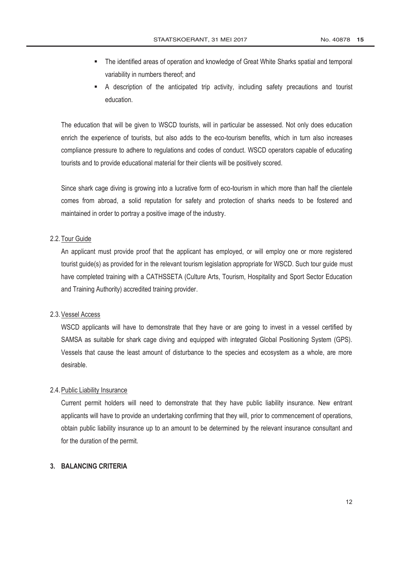- The identified areas of operation and knowledge of Great White Sharks spatial and temporal variability in numbers thereof; and
- A description of the anticipated trip activity, including safety precautions and tourist education.

The education that will be given to WSCD tourists, will in particular be assessed. Not only does education enrich the experience of tourists, but also adds to the eco-tourism benefits, which in turn also increases compliance pressure to adhere to regulations and codes of conduct. WSCD operators capable of educating tourists and to provide educational material for their clients will be positively scored.

Since shark cage diving is growing into a lucrative form of eco-tourism in which more than half the clientele comes from abroad, a solid reputation for safety and protection of sharks needs to be fostered and maintained in order to portray a positive image of the industry.

# 2.2. Tour Guide

An applicant must provide proof that the applicant has employed, or will employ one or more registered tourist guide(s) as provided for in the relevant tourism legislation appropriate for WSCD. Such tour guide must have completed training with a CATHSSETA (Culture Arts, Tourism, Hospitality and Sport Sector Education and Training Authority) accredited training provider.

#### 2.3.Vessel Access

WSCD applicants will have to demonstrate that they have or are going to invest in a vessel certified by SAMSA as suitable for shark cage diving and equipped with integrated Global Positioning System (GPS). Vessels that cause the least amount of disturbance to the species and ecosystem as a whole, are more desirable.

#### 2.4.Public Liability Insurance

Current permit holders will need to demonstrate that they have public liability insurance. New entrant applicants will have to provide an undertaking confirming that they will, prior to commencement of operations, obtain public liability insurance up to an amount to be determined by the relevant insurance consultant and for the duration of the permit.

# **3. BALANCING CRITERIA**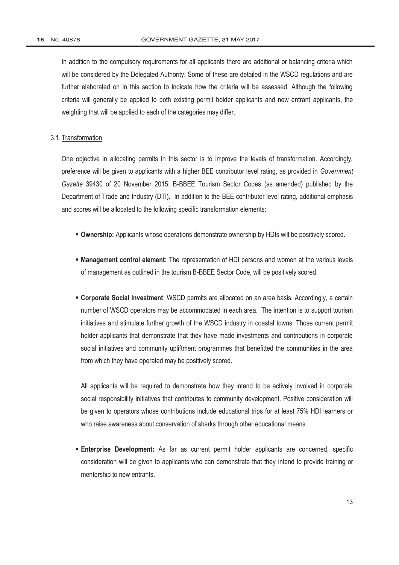In addition to the compulsory requirements for all applicants there are additional or balancing criteria which will be considered by the Delegated Authority. Some of these are detailed in the WSCD regulations and are further elaborated on in this section to indicate how the criteria will be assessed. Although the following criteria will generally be applied to both existing permit holder applicants and new entrant applicants, the weighting that will be applied to each of the categories may differ.

### 3.1. Transformation

One objective in allocating permits in this sector is to improve the levels of transformation. Accordingly, preference will be given to applicants with a higher BEE contributor level rating, as provided in *[Government](http://www.greengazette.co.za/government-gazette)  [Gazette](http://www.greengazette.co.za/government-gazette)* 39430 of 20 November 2015: B-BBEE Tourism Sector Codes (as amended) published by the [Department of Trade and Industry](http://www.greengazette.co.za/departments/dti) (DTI). In addition to the BEE contributor level rating, additional emphasis and scores will be allocated to the following specific transformation elements:

- **Ownership:** Applicants whose operations demonstrate ownership by HDIs will be positively scored.
- **Management control element:** The representation of HDI persons and women at the various levels of management as outlined in the tourism B-BBEE Sector Code, will be positively scored.
- **Corporate Social Investment**: WSCD permits are allocated on an area basis. Accordingly, a certain number of WSCD operators may be accommodated in each area. The intention is to support tourism initiatives and stimulate further growth of the WSCD industry in coastal towns. Those current permit holder applicants that demonstrate that they have made investments and contributions in corporate social initiatives and community upliftment programmes that benefitted the communities in the area from which they have operated may be positively scored.

All applicants will be required to demonstrate how they intend to be actively involved in corporate social responsibility initiatives that contributes to community development. Positive consideration will be given to operators whose contributions include educational trips for at least 75% HDI learners or who raise awareness about conservation of sharks through other educational means.

 **Enterprise Development:** As far as current permit holder applicants are concerned, specific consideration will be given to applicants who can demonstrate that they intend to provide training or mentorship to new entrants.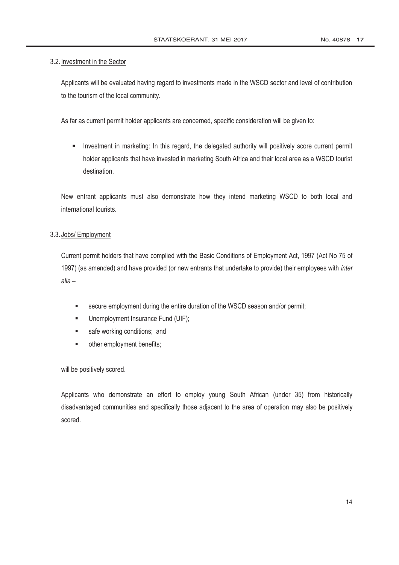# 3.2. Investment in the Sector

Applicants will be evaluated having regard to investments made in the WSCD sector and level of contribution to the tourism of the local community.

As far as current permit holder applicants are concerned, specific consideration will be given to:

Investment in marketing: In this regard, the delegated authority will positively score current permit holder applicants that have invested in marketing South Africa and their local area as a WSCD tourist destination.

New entrant applicants must also demonstrate how they intend marketing WSCD to both local and international tourists.

# 3.3. Jobs/ Employment

Current permit holders that have complied with the [Basic Conditions of Employment Act,](http://www.greengazette.co.za/acts/basic-conditions-of-employment-act_1997-075) 1997 (Act No 75 of 1997) (as amended) and have provided (or new entrants that undertake to provide) their employees with *inter alia* –

- secure employment during the entire duration of the WSCD season and/or permit;
- **Unemployment Insurance Fund (UIF);**
- safe working conditions; and
- **•** other employment benefits;

will be positively scored.

Applicants who demonstrate an effort to employ young South African (under 35) from historically disadvantaged communities and specifically those adjacent to the area of operation may also be positively scored.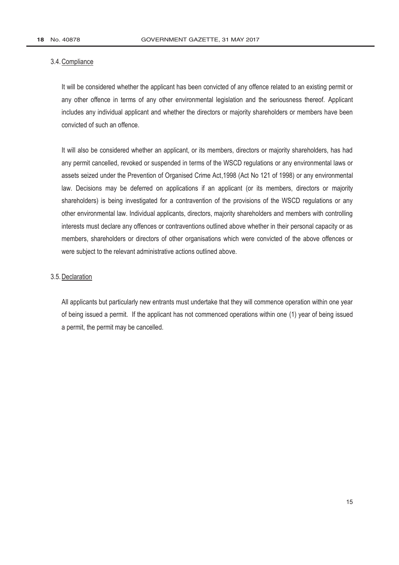#### 3.4.Compliance

It will be considered whether the applicant has been convicted of any offence related to an existing permit or any other offence in terms of any other environmental legislation and the seriousness thereof. Applicant includes any individual applicant and whether the directors or majority shareholders or members have been convicted of such an offence.

It will also be considered whether an applicant, or its members, directors or majority shareholders, has had any permit cancelled, revoked or suspended in terms of the WSCD regulations or any environmental laws or assets seized under the [Prevention of Organised Crime Act,1](http://www.greengazette.co.za/acts/prevention-of-organised-crime-act_1998-121)998 (Act No 121 of 1998) or any environmental law. Decisions may be deferred on applications if an applicant (or its members, directors or majority shareholders) is being investigated for a contravention of the provisions of the WSCD regulations or any other environmental law. Individual applicants, directors, majority shareholders and members with controlling interests must declare any offences or contraventions outlined above whether in their personal capacity or as members, shareholders or directors of other organisations which were convicted of the above offences or were subject to the relevant administrative actions outlined above.

#### 3.5.Declaration

All applicants but particularly new entrants must undertake that they will commence operation within one year of being issued a permit. If the applicant has not commenced operations within one (1) year of being issued a permit, the permit may be cancelled.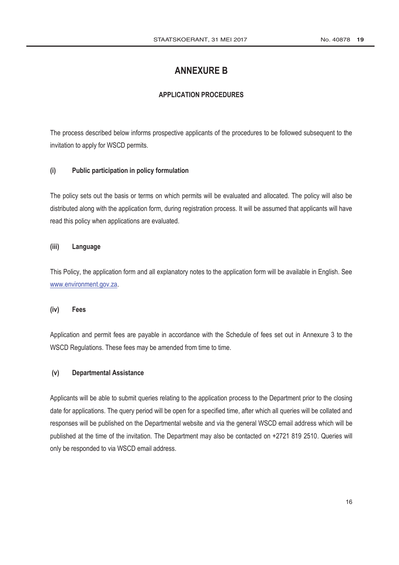# **ANNEXURE B**

# **APPLICATION PROCEDURES**

The process described below informs prospective applicants of the procedures to be followed subsequent to the invitation to apply for WSCD permits.

### **(i) Public participation in policy formulation**

The policy sets out the basis or terms on which permits will be evaluated and allocated. The policy will also be distributed along with the application form, during registration process. It will be assumed that applicants will have read this policy when applications are evaluated.

# **(iii) Language**

This Policy, the application form and all explanatory notes to the application form will be available in English. See www.environment.gov.za.

#### **(iv) Fees**

Application and permit fees are payable in accordance with the Schedule of fees set out in Annexure 3 to the WSCD Regulations. These fees may be amended from time to time.

# **(v) Departmental Assistance**

Applicants will be able to submit queries relating to the application process to the Department prior to the closing date for applications. The query period will be open for a specified time, after which all queries will be collated and responses will be published on the Departmental website and via the general WSCD email address which will be published at the time of the invitation. The Department may also be contacted on +2721 819 2510. Queries will only be responded to via WSCD email address.